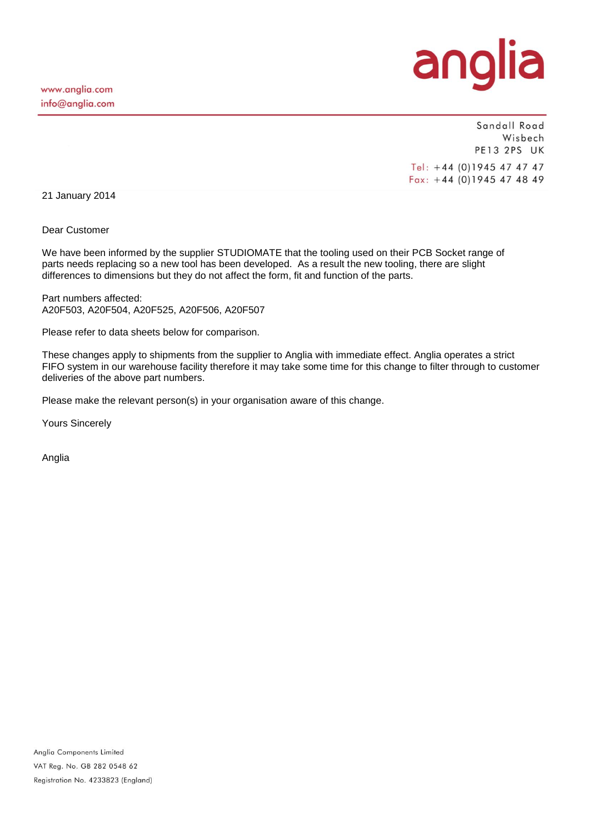

Sandall Road Wisbech PE13 2PS UK Tel: +44 (0)1945 47 47 47  $Fax: +44(0)1945474849$ 

21 January 2014

Dear Customer

We have been informed by the supplier STUDIOMATE that the tooling used on their PCB Socket range of parts needs replacing so a new tool has been developed. As a result the new tooling, there are slight differences to dimensions but they do not affect the form, fit and function of the parts.

Part numbers affected: A20F503, A20F504, A20F525, A20F506, A20F507

Please refer to data sheets below for comparison.

These changes apply to shipments from the supplier to Anglia with immediate effect. Anglia operates a strict FIFO system in our warehouse facility therefore it may take some time for this change to filter through to customer deliveries of the above part numbers.

Please make the relevant person(s) in your organisation aware of this change.

Yours Sincerely

Anglia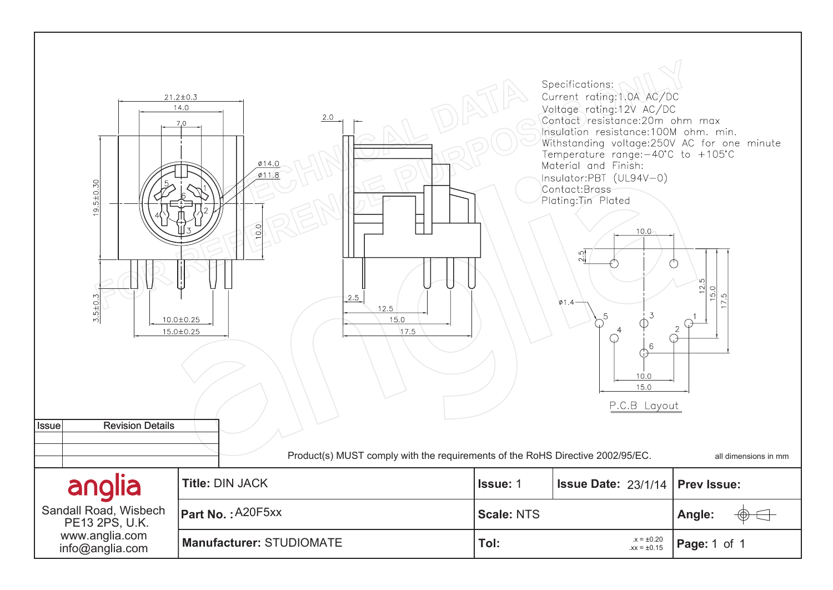